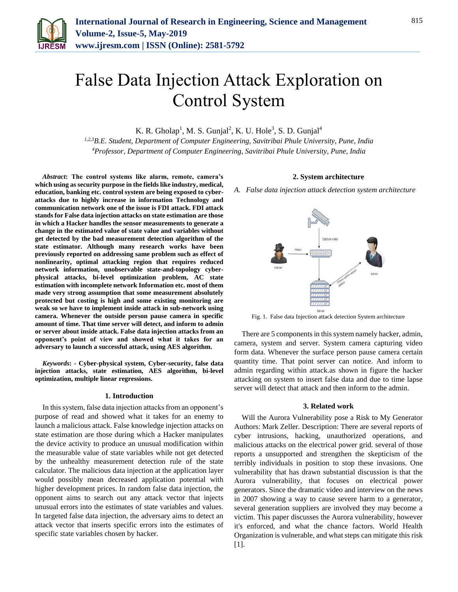

# False Data Injection Attack Exploration on Control System

K. R. Gholap<sup>1</sup>, M. S. Gunjal<sup>2</sup>, K. U. Hole<sup>3</sup>, S. D. Gunjal<sup>4</sup>

*1,2,3B.E. Student, Department of Computer Engineering, Savitribai Phule University, Pune, India 4Professor, Department of Computer Engineering, Savitribai Phule University, Pune, India*

*Abstract***: The control systems like alarm, remote, camera's which using as security purpose in the fields like industry, medical, education, banking etc. control system are being exposed to cyberattacks due to highly increase in information Technology and communication network one of the issue is FDI attack. FDI attack stands for False data injection attacks on state estimation are those in which a Hacker handles the sensor measurements to generate a change in the estimated value of state value and variables without get detected by the bad measurement detection algorithm of the state estimator. Although many research works have been previously reported on addressing same problem such as effect of nonlinearity, optimal attacking region that requires reduced network information, unobservable state-and-topology cyberphysical attacks, bi-level optimization problem, AC state estimation with incomplete network Information etc. most of them made very strong assumption that some measurement absolutely protected but costing is high and some existing monitoring are weak so we have to implement inside attack in sub-network using camera. Whenever the outside person pause camera in specific amount of time. That time server will detect, and inform to admin or server about inside attack. False data injection attacks from an opponent's point of view and showed what it takes for an adversary to launch a successful attack, using AES algorithm.**

*Keywords***: - Cyber-physical system, Cyber-security, false data injection attacks, state estimation, AES algorithm, bi-level optimization, multiple linear regressions.**

#### **1. Introduction**

In this system, false data injection attacks from an opponent's purpose of read and showed what it takes for an enemy to launch a malicious attack. False knowledge injection attacks on state estimation are those during which a Hacker manipulates the device activity to produce an unusual modification within the measurable value of state variables while not get detected by the unhealthy measurement detection rule of the state calculator. The malicious data injection at the application layer would possibly mean decreased application potential with higher development prices. In random false data injection, the opponent aims to search out any attack vector that injects unusual errors into the estimates of state variables and values. In targeted false data injection, the adversary aims to detect an attack vector that inserts specific errors into the estimates of specific state variables chosen by hacker.

# **2. System architecture** *A. False data injection attack detection system architecture*



Fig. 1. False data Injection attack detection System architecture

There are 5 components in this system namely hacker, admin, camera, system and server. System camera capturing video form data. Whenever the surface person pause camera certain quantity time. That point server can notice. And inform to admin regarding within attack.as shown in figure the hacker attacking on system to insert false data and due to time lapse server will detect that attack and then inform to the admin.

#### **3. Related work**

Will the Aurora Vulnerability pose a Risk to My Generator Authors: Mark Zeller. Description: There are several reports of cyber intrusions, hacking, unauthorized operations, and malicious attacks on the electrical power grid. several of those reports a unsupported and strengthen the skepticism of the terribly individuals in position to stop these invasions. One vulnerability that has drawn substantial discussion is that the Aurora vulnerability, that focuses on electrical power generators. Since the dramatic video and interview on the news in 2007 showing a way to cause severe harm to a generator, several generation suppliers are involved they may become a victim. This paper discusses the Aurora vulnerability, however it's enforced, and what the chance factors. World Health Organization is vulnerable, and what steps can mitigate this risk  $[1]$ .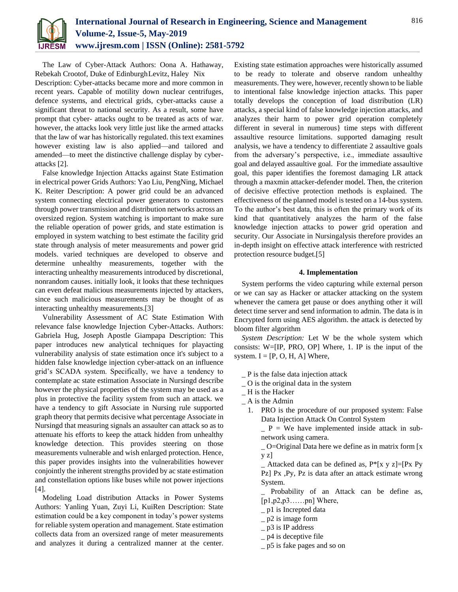

The Law of Cyber-Attack Authors: Oona A. Hathaway, Rebekah Crootof, Duke of EdinburghLevitz, Haley Nix Description: Cyber-attacks became more and more common in recent years. Capable of motility down nuclear centrifuges, defence systems, and electrical grids, cyber-attacks cause a significant threat to national security. As a result, some have prompt that cyber- attacks ought to be treated as acts of war. however, the attacks look very little just like the armed attacks that the law of war has historically regulated. this text examines however existing law is also applied—and tailored and amended—to meet the distinctive challenge display by cyberattacks [2].

False knowledge Injection Attacks against State Estimation in electrical power Grids Authors: Yao Liu, PengNing, Michael K. Reiter Description: A power grid could be an advanced system connecting electrical power generators to customers through power transmission and distribution networks across an oversized region. System watching is important to make sure the reliable operation of power grids, and state estimation is employed in system watching to best estimate the facility grid state through analysis of meter measurements and power grid models. varied techniques are developed to observe and determine unhealthy measurements, together with the interacting unhealthy measurements introduced by discretional, nonrandom causes. initially look, it looks that these techniques can even defeat malicious measurements injected by attackers, since such malicious measurements may be thought of as interacting unhealthy measurements.[3]

Vulnerability Assessment of AC State Estimation With relevance false knowledge Injection Cyber-Attacks. Authors: Gabriela Hug, Joseph Apostle Giampapa Description: This paper introduces new analytical techniques for playacting vulnerability analysis of state estimation once it's subject to a hidden false knowledge injection cyber-attack on an influence grid's SCADA system. Specifically, we have a tendency to contemplate ac state estimation Associate in Nursingd describe however the physical properties of the system may be used as a plus in protective the facility system from such an attack. we have a tendency to gift Associate in Nursing rule supported graph theory that permits decisive what percentage Associate in Nursingd that measuring signals an assaulter can attack so as to attenuate his efforts to keep the attack hidden from unhealthy knowledge detection. This provides steering on those measurements vulnerable and wish enlarged protection. Hence, this paper provides insights into the vulnerabilities however conjointly the inherent strengths provided by ac state estimation and constellation options like buses while not power injections [4].

Modeling Load distribution Attacks in Power Systems Authors: Yanling Yuan, Zuyi Li, KuiRen Description: State estimation could be a key component in today's power systems for reliable system operation and management. State estimation collects data from an oversized range of meter measurements and analyzes it during a centralized manner at the center.

Existing state estimation approaches were historically assumed to be ready to tolerate and observe random unhealthy measurements. They were, however, recently shown to be liable to intentional false knowledge injection attacks. This paper totally develops the conception of load distribution (LR) attacks, a special kind of false knowledge injection attacks, and analyzes their harm to power grid operation completely different in several in numerous} time steps with different assaultive resource limitations. supported damaging result analysis, we have a tendency to differentiate 2 assaultive goals from the adversary's perspective, i.e., immediate assaultive goal and delayed assaultive goal. For the immediate assaultive goal, this paper identifies the foremost damaging LR attack through a maxmin attacker-defender model. Then, the criterion of decisive effective protection methods is explained. The effectiveness of the planned model is tested on a 14-bus system. To the author's best data, this is often the primary work of its kind that quantitatively analyzes the harm of the false knowledge injection attacks to power grid operation and security. Our Associate in Nursingalysis therefore provides an in-depth insight on effective attack interference with restricted protection resource budget.[5]

#### **4. Implementation**

System performs the video capturing while external person or we can say as Hacker or attacker attacking on the system whenever the camera get pause or does anything other it will detect time server and send information to admin. The data is in Encrypted form using AES algorithm. the attack is detected by bloom filter algorithm

*System Description:* Let W be the whole system which consists: W=[IP, PRO, OP] Where, 1. IP is the input of the system.  $I = [P, O, H, A]$  Where,

 $P$  is the false data injection attack

- $\overline{\phantom{a}}$  O is the original data in the system
- \_ H is the Hacker
- $A$  is the Admin
	- 1. PRO is the procedure of our proposed system: False Data Injection Attack On Control System

 $P =$  We have implemented inside attack in subnetwork using camera.

\_ O=Original Data here we define as in matrix form [x y z]

 $\_$  Attacked data can be defined as,  $P^*[x \ y \ z] = [Px \ Py$ Pz] Px ,Py, Pz is data after an attack estimate wrong System.

Probability of an Attack can be define as, [p1,p2,p3……pn] Where,

- \_ p1 is Increpted data
- \_ p2 is image form
- \_ p3 is IP address
- $-$  p4 is deceptive file
- \_ p5 is fake pages and so on